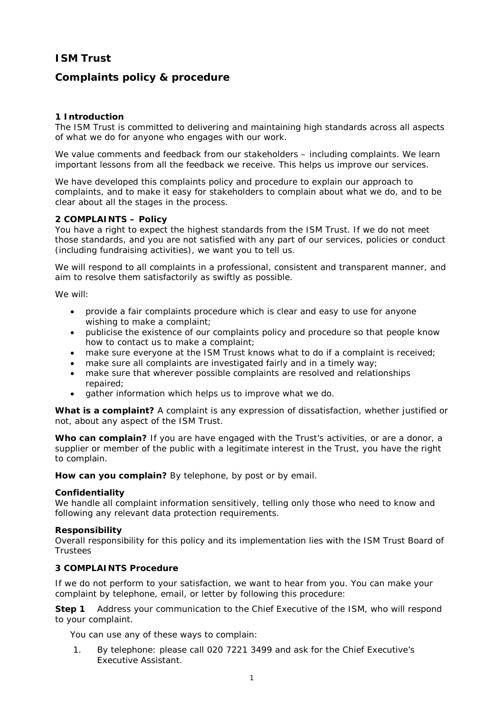# **ISM Trust**

## **Complaints policy & procedure**

## **1 Introduction**

The ISM Trust is committed to delivering and maintaining high standards across all aspects of what we do for anyone who engages with our work.

We value comments and feedback from our stakeholders – including complaints. We learn important lessons from all the feedback we receive. This helps us improve our services.

We have developed this complaints policy and procedure to explain our approach to complaints, and to make it easy for stakeholders to complain about what we do, and to be clear about all the stages in the process.

### **2 COMPLAINTS – Policy**

You have a right to expect the highest standards from the ISM Trust. If we do not meet those standards, and you are not satisfied with any part of our services, policies or conduct (including fundraising activities), we want you to tell us.

We will respond to all complaints in a professional, consistent and transparent manner, and aim to resolve them satisfactorily as swiftly as possible.

We will:

- provide a fair complaints procedure which is clear and easy to use for anyone wishing to make a complaint;
- publicise the existence of our complaints policy and procedure so that people know how to contact us to make a complaint;
- make sure everyone at the ISM Trust knows what to do if a complaint is received;
- make sure all complaints are investigated fairly and in a timely way;
- make sure that wherever possible complaints are resolved and relationships repaired;
- gather information which helps us to improve what we do.

**What is a complaint?** A complaint is any expression of dissatisfaction, whether justified or not, about any aspect of the ISM Trust.

**Who can complain?** If you are have engaged with the Trust's activities, or are a donor, a supplier or member of the public with a legitimate interest in the Trust, you have the right to complain.

**How can you complain?** By telephone, by post or by email.

#### **Confidentiality**

We handle all complaint information sensitively, telling only those who need to know and following any relevant data protection requirements.

#### **Responsibility**

Overall responsibility for this policy and its implementation lies with the ISM Trust Board of Trustees

## **3 COMPLAINTS Procedure**

If we do not perform to your satisfaction, we want to hear from you. You can make your complaint by telephone, email, or letter by following this procedure:

**Step 1** Address your communication to the Chief Executive of the ISM, who will respond to your complaint.

You can use any of these ways to complain:

1. By telephone: please call 020 7221 3499 and ask for the Chief Executive's Executive Assistant.